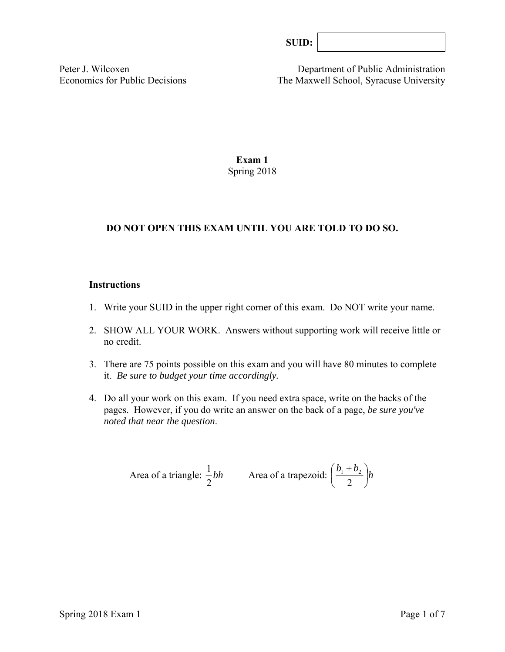Peter J. Wilcoxen Department of Public Administration Economics for Public Decisions The Maxwell School, Syracuse University

# **Exam 1**  Spring 2018

# **DO NOT OPEN THIS EXAM UNTIL YOU ARE TOLD TO DO SO.**

# **Instructions**

- 1. Write your SUID in the upper right corner of this exam. Do NOT write your name.
- 2. SHOW ALL YOUR WORK. Answers without supporting work will receive little or no credit.
- 3. There are 75 points possible on this exam and you will have 80 minutes to complete it. *Be sure to budget your time accordingly.*
- 4. Do all your work on this exam. If you need extra space, write on the backs of the pages. However, if you do write an answer on the back of a page, *be sure you've noted that near the question*.

Area of a triangle: 
$$
\frac{1}{2}bh
$$
 Area of a trapezoid:  $\left(\frac{b_1 + b_2}{2}\right)h$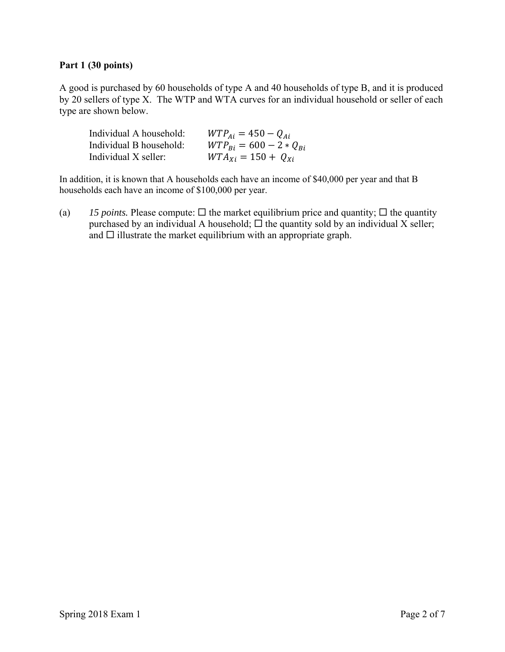## **Part 1 (30 points)**

A good is purchased by 60 households of type A and 40 households of type B, and it is produced by 20 sellers of type X. The WTP and WTA curves for an individual household or seller of each type are shown below.

| Individual A household: | $WTP_{Ai} = 450 - Q_{Ai}$                   |
|-------------------------|---------------------------------------------|
| Individual B household: | $WTP_{\text{R}i} = 600 - 2 * Q_{\text{R}i}$ |
| Individual X seller:    | $WTA_{xi} = 150 + Q_{xi}$                   |

In addition, it is known that A households each have an income of \$40,000 per year and that B households each have an income of \$100,000 per year.

(a) *15 points.* Please compute:  $\Box$  the market equilibrium price and quantity;  $\Box$  the quantity purchased by an individual A household;  $\Box$  the quantity sold by an individual X seller; and  $\square$  illustrate the market equilibrium with an appropriate graph.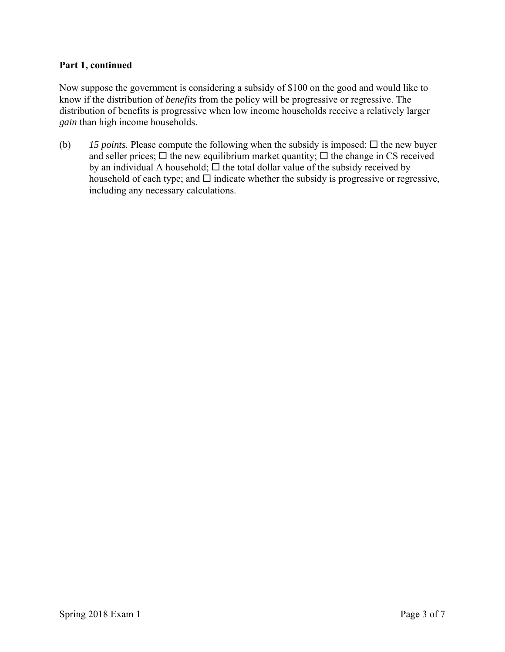#### **Part 1, continued**

Now suppose the government is considering a subsidy of \$100 on the good and would like to know if the distribution of *benefits* from the policy will be progressive or regressive. The distribution of benefits is progressive when low income households receive a relatively larger *gain* than high income households.

(b)  $15$  *points.* Please compute the following when the subsidy is imposed:  $\Box$  the new buyer and seller prices;  $\Box$  the new equilibrium market quantity;  $\Box$  the change in CS received by an individual A household;  $\Box$  the total dollar value of the subsidy received by household of each type; and  $\square$  indicate whether the subsidy is progressive or regressive, including any necessary calculations.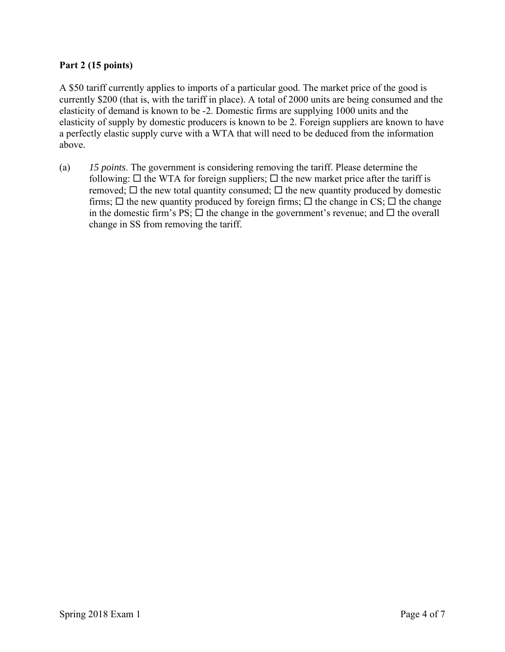# **Part 2 (15 points)**

A \$50 tariff currently applies to imports of a particular good. The market price of the good is currently \$200 (that is, with the tariff in place). A total of 2000 units are being consumed and the elasticity of demand is known to be -2. Domestic firms are supplying 1000 units and the elasticity of supply by domestic producers is known to be 2. Foreign suppliers are known to have a perfectly elastic supply curve with a WTA that will need to be deduced from the information above.

(a) *15 points*. The government is considering removing the tariff. Please determine the following:  $\Box$  the WTA for foreign suppliers;  $\Box$  the new market price after the tariff is removed;  $\Box$  the new total quantity consumed;  $\Box$  the new quantity produced by domestic firms;  $\Box$  the new quantity produced by foreign firms;  $\Box$  the change in CS;  $\Box$  the change in the domestic firm's PS;  $\Box$  the change in the government's revenue; and  $\Box$  the overall change in SS from removing the tariff.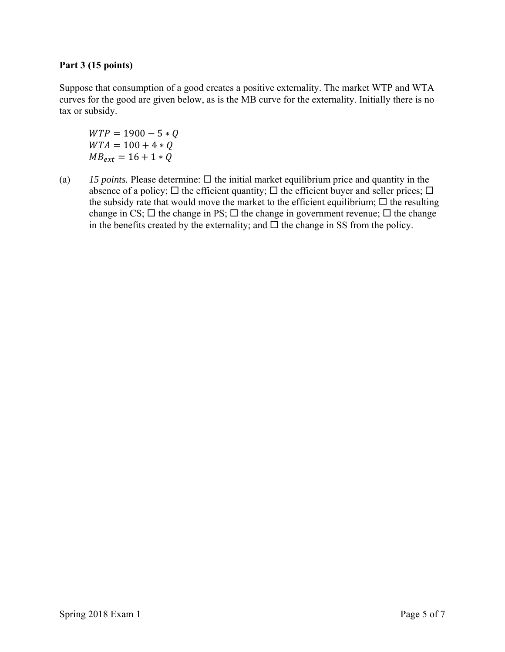# **Part 3 (15 points)**

Suppose that consumption of a good creates a positive externality. The market WTP and WTA curves for the good are given below, as is the MB curve for the externality. Initially there is no tax or subsidy.

 $WTP = 1900 - 5 * Q$  $WTA = 100 + 4 * Q$  $MB_{ext} = 16 + 1 * Q$ 

(a)  $15$  *points.* Please determine:  $\Box$  the initial market equilibrium price and quantity in the absence of a policy;  $\Box$  the efficient quantity;  $\Box$  the efficient buyer and seller prices;  $\Box$ the subsidy rate that would move the market to the efficient equilibrium;  $\Box$  the resulting change in CS;  $\Box$  the change in PS;  $\Box$  the change in government revenue;  $\Box$  the change in the benefits created by the externality; and  $\Box$  the change in SS from the policy.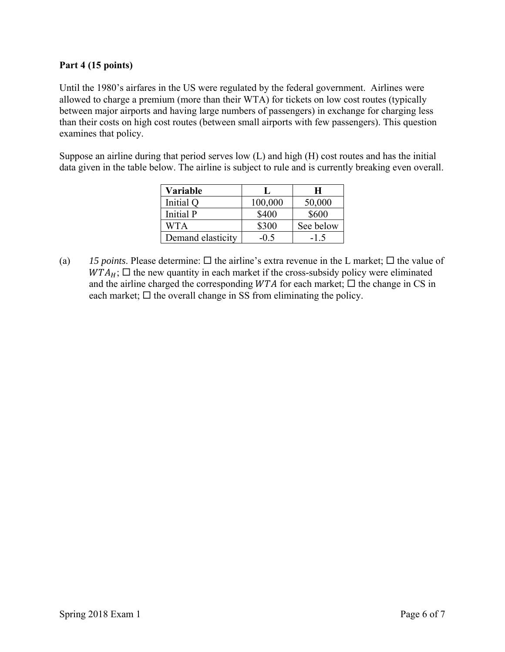# **Part 4 (15 points)**

Until the 1980's airfares in the US were regulated by the federal government. Airlines were allowed to charge a premium (more than their WTA) for tickets on low cost routes (typically between major airports and having large numbers of passengers) in exchange for charging less than their costs on high cost routes (between small airports with few passengers). This question examines that policy.

Suppose an airline during that period serves low (L) and high (H) cost routes and has the initial data given in the table below. The airline is subject to rule and is currently breaking even overall.

| Variable          |         | н         |
|-------------------|---------|-----------|
| Initial Q         | 100,000 | 50,000    |
| Initial P         | \$400   | \$600     |
| WTA               | \$300   | See below |
| Demand elasticity | -05     | $-1.5$    |

(a) 15 points. Please determine:  $\Box$  the airline's extra revenue in the L market;  $\Box$  the value of  $WTA_H$ ;  $\square$  the new quantity in each market if the cross-subsidy policy were eliminated and the airline charged the corresponding  $WTA$  for each market;  $\Box$  the change in CS in each market;  $\Box$  the overall change in SS from eliminating the policy.